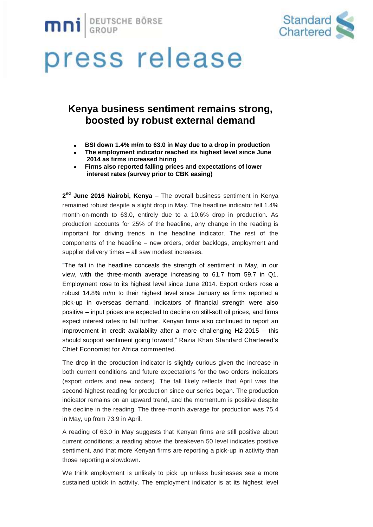



### **Kenya business sentiment remains strong, boosted by robust external demand**

- **BSI down 1.4% m/m to 63.0 in May due to a drop in production**
- **The employment indicator reached its highest level since June 2014 as firms increased hiring**
- **Firms also reported falling prices and expectations of lower interest rates (survey prior to CBK easing)**

2<sup>nd</sup> June 2016 Nairobi, Kenya – The overall business sentiment in Kenya remained robust despite a slight drop in May. The headline indicator fell 1.4% month-on-month to 63.0, entirely due to a 10.6% drop in production. As production accounts for 25% of the headline, any change in the reading is important for driving trends in the headline indicator. The rest of the components of the headline – new orders, order backlogs, employment and supplier delivery times – all saw modest increases.

"The fall in the headline conceals the strength of sentiment in May, in our view, with the three-month average increasing to 61.7 from 59.7 in Q1. Employment rose to its highest level since June 2014. Export orders rose a robust 14.8% m/m to their highest level since January as firms reported a pick-up in overseas demand. Indicators of financial strength were also positive – input prices are expected to decline on still-soft oil prices, and firms expect interest rates to fall further. Kenyan firms also continued to report an improvement in credit availability after a more challenging H2-2015 – this should support sentiment going forward," Razia Khan Standard Chartered's Chief Economist for Africa commented.

The drop in the production indicator is slightly curious given the increase in both current conditions and future expectations for the two orders indicators (export orders and new orders). The fall likely reflects that April was the second-highest reading for production since our series began. The production indicator remains on an upward trend, and the momentum is positive despite the decline in the reading. The three-month average for production was 75.4 in May, up from 73.9 in April.

A reading of 63.0 in May suggests that Kenyan firms are still positive about current conditions; a reading above the breakeven 50 level indicates positive sentiment, and that more Kenyan firms are reporting a pick-up in activity than those reporting a slowdown.

We think employment is unlikely to pick up unless businesses see a more sustained uptick in activity. The employment indicator is at its highest level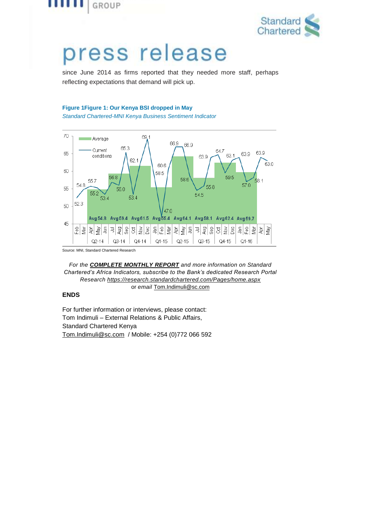



since June 2014 as firms reported that they needed more staff, perhaps reflecting expectations that demand will pick up.

#### **Figure 1Figure 1: Our Kenya BSI dropped in May**

*Standard Chartered-MNI Kenya Business Sentiment Indicator*



Source: MNI, Standard Chartered Research

*For the [COMPLETE](https://research.standardchartered.com/Pages/home.aspx) MONTHLY REPORT and more information on Standard Chartered's Africa Indicators, subscribe to the Bank's dedicated Research Portal Research<https://research.standardchartered.com/Pages/home.aspx>* or *email* [Tom.Indimuli@sc.com](mailto:Tom.Indimuli@sc.com)

#### **ENDS**

For further information or interviews, please contact: Tom Indimuli – External Relations & Public Affairs, Standard Chartered Kenya [Tom.Indimuli@sc.com](mailto:Tom.Indimuli@sc.com) / Mobile: +254 (0)772 066 592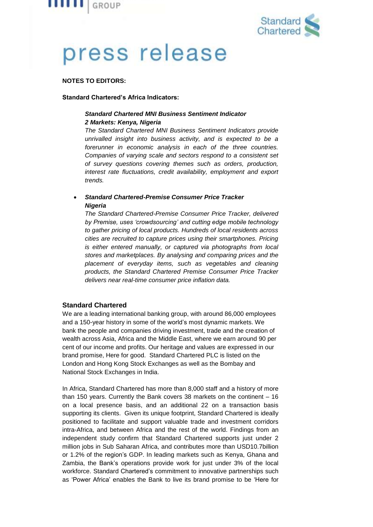



#### **NOTES TO EDITORS:**

#### **Standard Chartered's Africa Indicators:**

#### *Standard Chartered MNI Business Sentiment Indicator 2 Markets: Kenya, Nigeria*

*The Standard Chartered MNI Business Sentiment Indicators provide unrivalled insight into business activity, and is expected to be a forerunner in economic analysis in each of the three countries. Companies of varying scale and sectors respond to a consistent set of survey questions covering themes such as orders, production, interest rate fluctuations, credit availability, employment and export trends.*

#### *Standard Chartered-Premise Consumer Price Tracker Nigeria*

*The Standard Chartered-Premise Consumer Price Tracker, delivered by Premise, uses 'crowdsourcing' and cutting edge mobile technology to gather pricing of local products. Hundreds of local residents across cities are recruited to capture prices using their smartphones. Pricing is either entered manually, or captured via photographs from local stores and marketplaces. By analysing and comparing prices and the placement of everyday items, such as vegetables and cleaning products, the Standard Chartered Premise Consumer Price Tracker delivers near real-time consumer price inflation data.*

#### **Standard Chartered**

We are a leading international banking group, with around 86,000 employees and a 150-year history in some of the world's most dynamic markets. We bank the people and companies driving investment, trade and the creation of wealth across Asia, Africa and the Middle East, where we earn around 90 per cent of our income and profits. Our heritage and values are expressed in our brand promise, Here for good. Standard Chartered PLC is listed on the London and Hong Kong Stock Exchanges as well as the Bombay and National Stock Exchanges in India.

In Africa, Standard Chartered has more than 8,000 staff and a history of more than 150 years. Currently the Bank covers 38 markets on the continent – 16 on a local presence basis, and an additional 22 on a transaction basis supporting its clients. Given its unique footprint, Standard Chartered is ideally positioned to facilitate and support valuable trade and investment corridors intra-Africa, and between Africa and the rest of the world. Findings from an [independent](https://www.sc.com/en/news-and-media/news/africa/2014-02-18-independent-study-measures-our-impact-in-africa.html) study confirm that Standard Chartered supports just under 2 million jobs in Sub Saharan Africa, and contributes more than USD10.7billion or 1.2% of the region's GDP. In leading markets such as Kenya, Ghana and Zambia, the Bank's operations provide work for just under 3% of the local workforce. Standard Chartered's commitment to innovative partnerships such as ['Power](https://www.sc.com/en/news-and-media/news/africa/2014-05-05-Power-Africa-Azura-is-latest-contribution.html) Africa' enables the Bank to live its brand promise to be 'Here for